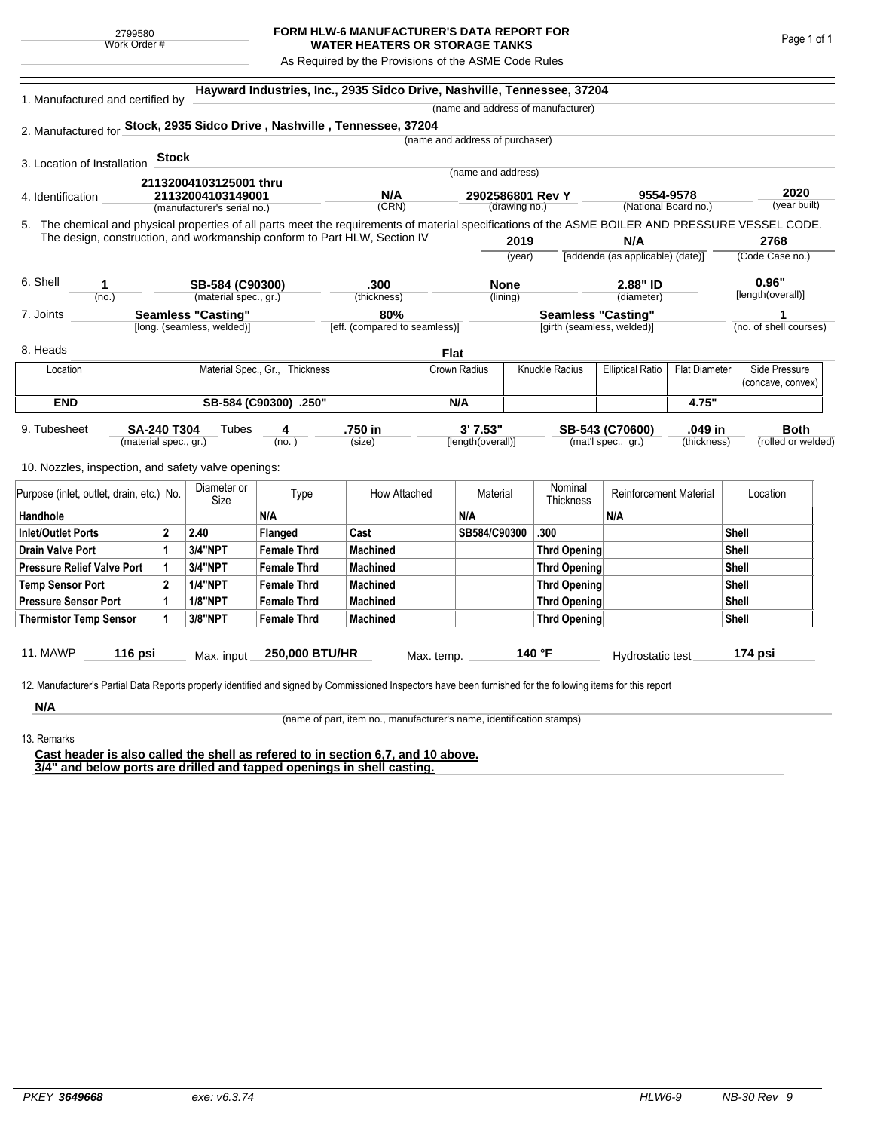## **FORM HLW-6 MANUFACTURER'S DATA REPORT FOR WATER HEATERS OR STORAGE TANKS**

As Required by the Provisions of the ASME Code Rules

|                                          |                                                                           |                                             |                                                     |                                | Hayward Industries, Inc., 2935 Sidco Drive, Nashville, Tennessee, 37204  |                                       |                                 |        |                                    |                                  |                      |                                                                                                                                                    |  |
|------------------------------------------|---------------------------------------------------------------------------|---------------------------------------------|-----------------------------------------------------|--------------------------------|--------------------------------------------------------------------------|---------------------------------------|---------------------------------|--------|------------------------------------|----------------------------------|----------------------|----------------------------------------------------------------------------------------------------------------------------------------------------|--|
| 1. Manufactured and certified by         |                                                                           |                                             |                                                     |                                |                                                                          |                                       |                                 |        | (name and address of manufacturer) |                                  |                      |                                                                                                                                                    |  |
|                                          |                                                                           |                                             |                                                     |                                | 2. Manufactured for Stock, 2935 Sidco Drive, Nashville, Tennessee, 37204 |                                       |                                 |        |                                    |                                  |                      |                                                                                                                                                    |  |
|                                          |                                                                           |                                             |                                                     |                                |                                                                          |                                       | (name and address of purchaser) |        |                                    |                                  |                      |                                                                                                                                                    |  |
| 3. Location of Installation              |                                                                           | <b>Stock</b>                                |                                                     |                                |                                                                          |                                       |                                 |        |                                    |                                  |                      |                                                                                                                                                    |  |
|                                          |                                                                           |                                             |                                                     |                                |                                                                          |                                       | (name and address)              |        |                                    |                                  |                      |                                                                                                                                                    |  |
| 4. Identification                        |                                                                           | 21132004103125001 thru<br>21132004103149001 |                                                     |                                | N/A                                                                      |                                       | 2902586801 Rev Y                |        |                                    | 9554-9578                        |                      | 2020                                                                                                                                               |  |
|                                          |                                                                           |                                             | (manufacturer's serial no.)                         |                                | (CRN)                                                                    | (National Board no.)<br>(drawing no.) |                                 |        |                                    | (year built)                     |                      |                                                                                                                                                    |  |
|                                          |                                                                           |                                             |                                                     |                                |                                                                          |                                       |                                 |        |                                    |                                  |                      | 5. The chemical and physical properties of all parts meet the requirements of material specifications of the ASME BOILER AND PRESSURE VESSEL CODE. |  |
|                                          | The design, construction, and workmanship conform to Part HLW, Section IV |                                             |                                                     |                                |                                                                          |                                       | 2019                            |        |                                    | N/A                              |                      | 2768                                                                                                                                               |  |
|                                          |                                                                           |                                             |                                                     |                                |                                                                          |                                       |                                 | (year) |                                    | [addenda (as applicable) (date)] |                      | (Code Case no.)                                                                                                                                    |  |
| 6. Shell<br>1                            |                                                                           | SB-584 (C90300)                             |                                                     |                                | .300                                                                     |                                       | <b>None</b>                     |        | 2.88" ID                           |                                  |                      | 0.96"                                                                                                                                              |  |
|                                          | (no.)                                                                     |                                             | (material spec., gr.)                               |                                | (thickness)                                                              | (lining)                              |                                 |        |                                    | (diameter)                       |                      | [length(overall)]                                                                                                                                  |  |
| 7. Joints                                | Seamless "Casting"                                                        |                                             |                                                     | 80%                            |                                                                          |                                       | <b>Seamless "Casting"</b>       |        |                                    |                                  |                      |                                                                                                                                                    |  |
|                                          |                                                                           |                                             | [long. (seamless, welded)]                          |                                | [eff. (compared to seamless)]                                            |                                       |                                 |        | [girth (seamless, welded)]         |                                  |                      | (no. of shell courses)                                                                                                                             |  |
| 8. Heads                                 |                                                                           |                                             |                                                     |                                |                                                                          | Flat                                  |                                 |        |                                    |                                  |                      |                                                                                                                                                    |  |
| Location                                 |                                                                           |                                             |                                                     | Material Spec., Gr., Thickness |                                                                          | Crown Radius                          |                                 |        | Knuckle Radius                     | <b>Elliptical Ratio</b>          | <b>Flat Diameter</b> | Side Pressure                                                                                                                                      |  |
|                                          |                                                                           |                                             |                                                     |                                |                                                                          |                                       |                                 |        |                                    |                                  |                      | (concave, convex)                                                                                                                                  |  |
| <b>END</b><br>SB-584 (C90300) .250"      |                                                                           |                                             |                                                     |                                | N/A                                                                      |                                       |                                 |        |                                    | 4.75"                            |                      |                                                                                                                                                    |  |
| 9. Tubesheet                             | <b>SA-240 T304</b>                                                        |                                             | Tubes                                               | 4                              | .750 in                                                                  |                                       | 3'7.53"                         |        |                                    | SB-543 (C70600)                  | .049 in              | <b>Both</b>                                                                                                                                        |  |
|                                          | (material spec., gr.)                                                     |                                             |                                                     | (no. )                         | (size)                                                                   |                                       | [length(overall)]               |        |                                    | (mat'l spec., gr.)               | (thickness)          | (rolled or welded)                                                                                                                                 |  |
|                                          |                                                                           |                                             | 10. Nozzles, inspection, and safety valve openings: |                                |                                                                          |                                       |                                 |        |                                    |                                  |                      |                                                                                                                                                    |  |
|                                          |                                                                           |                                             |                                                     |                                |                                                                          |                                       |                                 |        |                                    |                                  |                      |                                                                                                                                                    |  |
| Purpose (inlet, outlet, drain, etc.) No. |                                                                           |                                             | Diameter or<br>Size                                 | Type                           | How Attached                                                             |                                       | Material                        |        | Nominal<br>Thickness               | <b>Reinforcement Material</b>    |                      | Location                                                                                                                                           |  |
| Handhole                                 |                                                                           |                                             |                                                     | N/A                            |                                                                          |                                       | N/A                             |        |                                    | N/A                              |                      |                                                                                                                                                    |  |
| <b>Inlet/Outlet Ports</b>                |                                                                           | $\mathbf{2}$                                | 2.40                                                | <b>Flanged</b>                 | Cast                                                                     |                                       | SB584/C90300                    |        | .300                               |                                  |                      | <b>Shell</b>                                                                                                                                       |  |
| <b>Drain Valve Port</b>                  |                                                                           | 1                                           | 3/4"NPT                                             | <b>Female Thrd</b>             | <b>Machined</b>                                                          |                                       |                                 |        | Thrd Opening                       |                                  |                      | Shell                                                                                                                                              |  |
| <b>Pressure Relief Valve Port</b>        |                                                                           | 1                                           | 3/4"NPT                                             | <b>Female Thrd</b>             | <b>Machined</b>                                                          |                                       |                                 |        | <b>Thrd Opening</b>                |                                  |                      | Shell                                                                                                                                              |  |
| <b>Temp Sensor Port</b>                  |                                                                           | $\mathbf{2}$                                | <b>1/4"NPT</b>                                      | <b>Female Thrd</b>             | <b>Machined</b>                                                          |                                       |                                 |        | Thrd Opening                       |                                  |                      | <b>Shell</b>                                                                                                                                       |  |
| <b>Pressure Sensor Port</b>              |                                                                           | 1                                           | <b>1/8"NPT</b>                                      | <b>Female Thrd</b>             | <b>Machined</b>                                                          |                                       |                                 |        | Thrd Opening                       |                                  |                      | <b>Shell</b>                                                                                                                                       |  |
| <b>Thermistor Temp Sensor</b>            |                                                                           | 1                                           | 3/8"NPT                                             | <b>Female Thrd</b>             | <b>Machined</b>                                                          |                                       |                                 |        | Thrd Opening                       |                                  |                      | <b>Shell</b>                                                                                                                                       |  |
|                                          |                                                                           |                                             |                                                     |                                |                                                                          |                                       |                                 |        |                                    |                                  |                      |                                                                                                                                                    |  |
| <b>11. MAWP</b>                          | 116 psi                                                                   |                                             | Max. input                                          | 250,000 BTU/HR                 |                                                                          | Max. temp.                            |                                 | 140 °F |                                    | Hydrostatic test                 |                      | 174 psi                                                                                                                                            |  |

**N/A**

(name of part, item no., manufacturer's name, identification stamps)

13. Remarks

**Cast header is also called the shell as refered to in section 6,7, and 10 above. 3/4" and below ports are drilled and tapped openings in shell casting.**